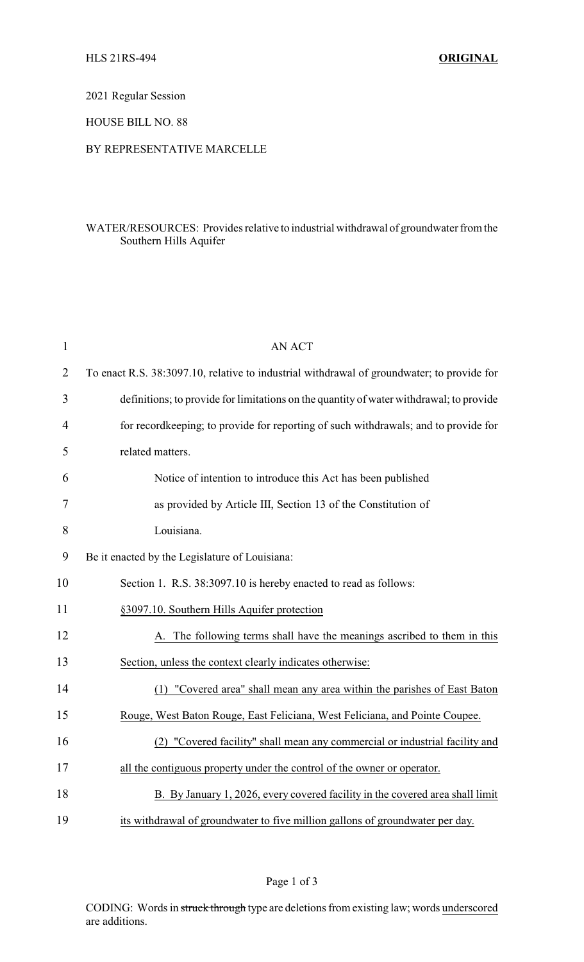2021 Regular Session

HOUSE BILL NO. 88

## BY REPRESENTATIVE MARCELLE

## WATER/RESOURCES: Provides relative to industrial withdrawal of groundwater from the Southern Hills Aquifer

| $\mathbf{1}$   | <b>AN ACT</b>                                                                              |  |
|----------------|--------------------------------------------------------------------------------------------|--|
| $\overline{2}$ | To enact R.S. 38:3097.10, relative to industrial withdrawal of groundwater; to provide for |  |
| 3              | definitions; to provide for limitations on the quantity of water withdrawal; to provide    |  |
| 4              | for record keeping; to provide for reporting of such withdrawals; and to provide for       |  |
| 5              | related matters.                                                                           |  |
| 6              | Notice of intention to introduce this Act has been published                               |  |
| 7              | as provided by Article III, Section 13 of the Constitution of                              |  |
| 8              | Louisiana.                                                                                 |  |
| 9              | Be it enacted by the Legislature of Louisiana:                                             |  |
| 10             | Section 1. R.S. 38:3097.10 is hereby enacted to read as follows:                           |  |
| 11             | §3097.10. Southern Hills Aquifer protection                                                |  |
| 12             | A. The following terms shall have the meanings ascribed to them in this                    |  |
| 13             | Section, unless the context clearly indicates otherwise:                                   |  |
| 14             | (1) "Covered area" shall mean any area within the parishes of East Baton                   |  |
| 15             | Rouge, West Baton Rouge, East Feliciana, West Feliciana, and Pointe Coupee.                |  |
| 16             | (2) "Covered facility" shall mean any commercial or industrial facility and                |  |
| 17             | all the contiguous property under the control of the owner or operator.                    |  |
| 18             | B. By January 1, 2026, every covered facility in the covered area shall limit              |  |
| 19             | its withdrawal of groundwater to five million gallons of groundwater per day.              |  |

Page 1 of 3

CODING: Words in struck through type are deletions from existing law; words underscored are additions.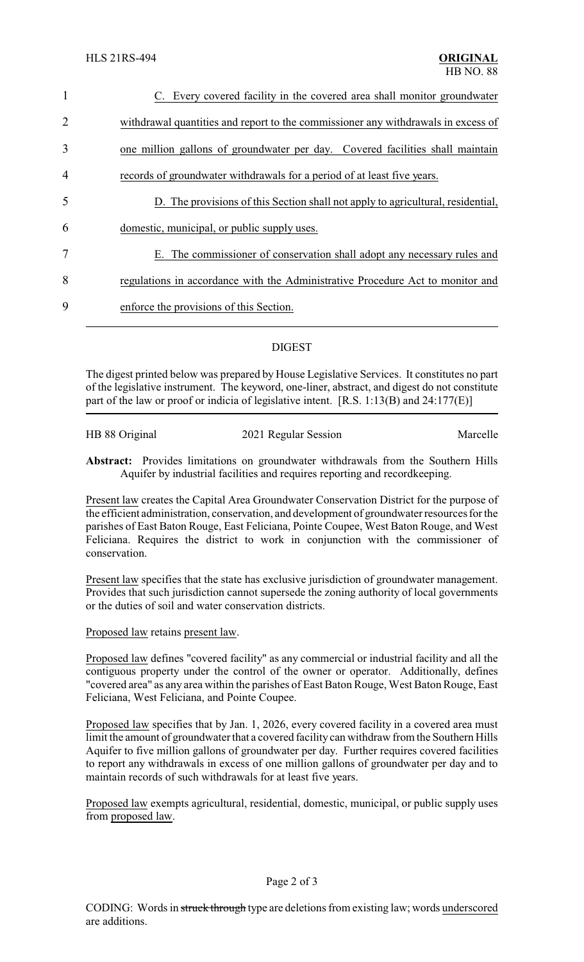| $\mathbf{1}$   | C. Every covered facility in the covered area shall monitor groundwater           |
|----------------|-----------------------------------------------------------------------------------|
| $\overline{2}$ | withdrawal quantities and report to the commissioner any withdrawals in excess of |
| 3              | one million gallons of groundwater per day. Covered facilities shall maintain     |
| $\overline{4}$ | records of groundwater withdrawals for a period of at least five years.           |
| 5              | D. The provisions of this Section shall not apply to agricultural, residential,   |
| 6              | domestic, municipal, or public supply uses.                                       |
| 7              | E. The commissioner of conservation shall adopt any necessary rules and           |
| 8              | regulations in accordance with the Administrative Procedure Act to monitor and    |
| 9              | enforce the provisions of this Section.                                           |
|                |                                                                                   |

## DIGEST

The digest printed below was prepared by House Legislative Services. It constitutes no part of the legislative instrument. The keyword, one-liner, abstract, and digest do not constitute part of the law or proof or indicia of legislative intent. [R.S. 1:13(B) and 24:177(E)]

| HB 88 Original | 2021 Regular Session | Marcelle |
|----------------|----------------------|----------|
|                |                      |          |

**Abstract:** Provides limitations on groundwater withdrawals from the Southern Hills Aquifer by industrial facilities and requires reporting and recordkeeping.

Present law creates the Capital Area Groundwater Conservation District for the purpose of the efficient administration, conservation, and development of groundwater resources for the parishes of East Baton Rouge, East Feliciana, Pointe Coupee, West Baton Rouge, and West Feliciana. Requires the district to work in conjunction with the commissioner of conservation.

Present law specifies that the state has exclusive jurisdiction of groundwater management. Provides that such jurisdiction cannot supersede the zoning authority of local governments or the duties of soil and water conservation districts.

Proposed law retains present law.

Proposed law defines "covered facility" as any commercial or industrial facility and all the contiguous property under the control of the owner or operator. Additionally, defines "covered area" as any area within the parishes of East Baton Rouge, West Baton Rouge, East Feliciana, West Feliciana, and Pointe Coupee.

Proposed law specifies that by Jan. 1, 2026, every covered facility in a covered area must limit the amount of groundwater that a covered facility can withdraw from the Southern Hills Aquifer to five million gallons of groundwater per day. Further requires covered facilities to report any withdrawals in excess of one million gallons of groundwater per day and to maintain records of such withdrawals for at least five years.

Proposed law exempts agricultural, residential, domestic, municipal, or public supply uses from proposed law.